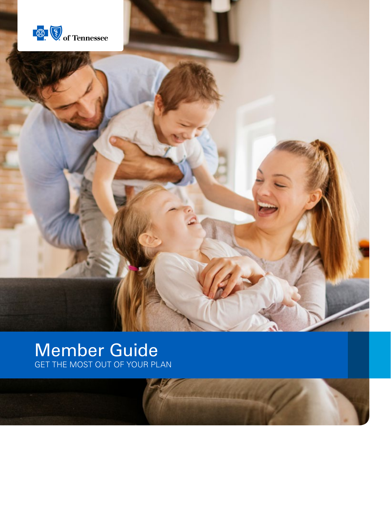

## Member Guide GET THE MOST OUT OF YOUR PLAN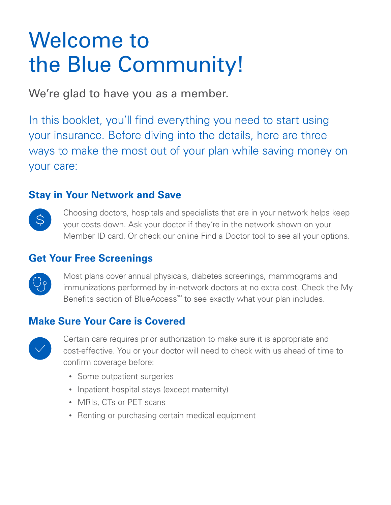## Welcome to the Blue Community!

We're glad to have you as a member.

In this booklet, you'll find everything you need to start using your insurance. Before diving into the details, here are three ways to make the most out of your plan while saving money on your care:

### **Stay in Your Network and Save**



Choosing doctors, hospitals and specialists that are in your network helps keep your costs down. Ask your doctor if they're in the network shown on your Member ID card. Or check our online Find a Doctor tool to see all your options.

### **Get Your Free Screenings**



Most plans cover annual physicals, diabetes screenings, mammograms and immunizations performed by in-network doctors at no extra cost. Check the My Benefits section of BlueAccess<sup>™</sup> to see exactly what your plan includes.

### **Make Sure Your Care is Covered**



Certain care requires prior authorization to make sure it is appropriate and cost-effective. You or your doctor will need to check with us ahead of time to confirm coverage before:

- Some outpatient surgeries
- Inpatient hospital stays (except maternity)
- MRIs, CTs or PET scans
- Renting or purchasing certain medical equipment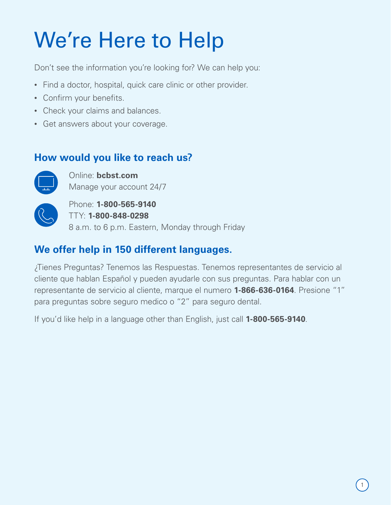## We're Here to Help

Don't see the information you're looking for? We can help you:

- Find a doctor, hospital, quick care clinic or other provider.
- Confirm your benefits.
- Check your claims and balances.
- Get answers about your coverage.

### **How would you like to reach us?**



Online: **bcbst.com** Manage your account 24/7



Phone: **1-800-565-9140** TTY: **1-800-848-0298** 8 a.m. to 6 p.m. Eastern, Monday through Friday

## **We offer help in 150 different languages.**

¿Tienes Preguntas? Tenemos las Respuestas. Tenemos representantes de servicio al cliente que hablan Español y pueden ayudarle con sus preguntas. Para hablar con un representante de servicio al cliente, marque el numero **1-866-636-0164**. Presione "1" para preguntas sobre seguro medico o "2" para seguro dental.

If you'd like help in a language other than English, just call **1-800-565-9140**.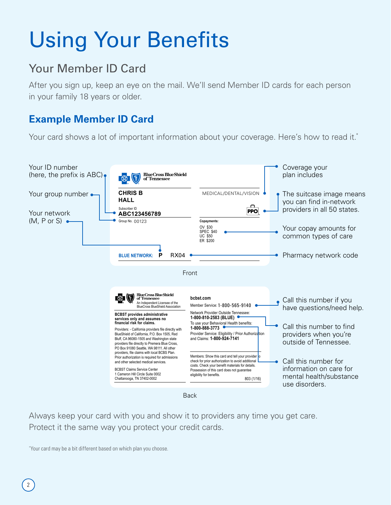## Using Your Benefits

## Your Member ID Card

After you sign up, keep an eye on the mail. We'll send Member ID cards for each person in your family 18 years or older.

### **Example Member ID Card**

Your card shows a lot of important information about your coverage. Here's how to read it.<sup>\*</sup>



Always keep your card with you and show it to providers any time you get care. Protect it the same way you protect your credit cards.

\* Your card may be a bit different based on which plan you choose.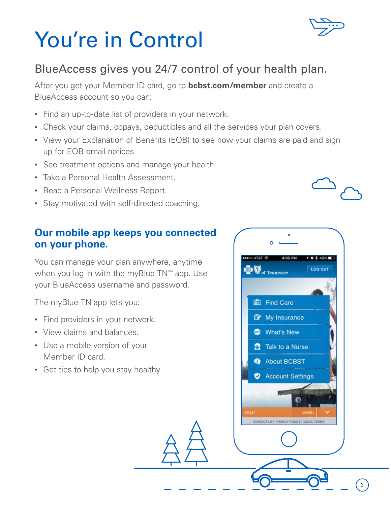## You're in Control

## BlueAccess gives you 24/7 control of your health plan.

After you get your Member ID card, go to **bcbst.com/member** and create a BlueAccess account so you can:

- Find an up-to-date list of providers in your network.
- Check your claims, copays, deductibles and all the services your plan covers.
- View your Explanation of Benefits (EOB) to see how your claims are paid and sign up for EOB email notices.
- See treatment options and manage your health.
- Take a Personal Health Assessment.
- Read a Personal Wellness Report.
- Stay motivated with self-directed coaching.

### **Our mobile app keeps you connected on your phone.**

You can manage your plan anywhere, anytime when you log in with the myBlue  $TN^{sM}$  app. Use your BlueAccess username and password.

The myBlue TN app lets you:

- Find providers in your network.
- View claims and balances.
- Use a mobile version of your Member ID card.
- Get tips to help you stay healthy.







3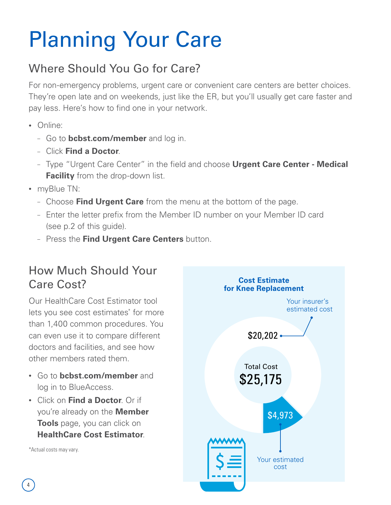## Planning Your Care

## Where Should You Go for Care?

For non-emergency problems, urgent care or convenient care centers are better choices. They're open late and on weekends, just like the ER, but you'll usually get care faster and pay less. Here's how to find one in your network.

- Online:
	- Go to **bcbst.com/member** and log in.
	- Click **Find a Doctor**.
	- Type "Urgent Care Center" in the field and choose **Urgent Care Center Medical Facility** from the drop-down list.
- myBlue TN:
	- Choose **Find Urgent Care** from the menu at the bottom of the page.
	- Enter the letter prefix from the Member ID number on your Member ID card (see p.2 of this guide).
	- Press the **Find Urgent Care Centers** button.

## How Much Should Your Care Cost?

Our HealthCare Cost Estimator tool lets you see cost estimates<sup>\*</sup> for more than 1,400 common procedures. You can even use it to compare different doctors and facilities, and see how other members rated them.

- Go to **bcbst.com/member** and log in to BlueAccess.
- Click on **Find a Doctor**. Or if you're already on the **Member Tools** page, you can click on **HealthCare Cost Estimator**.

\*Actual costs may vary.

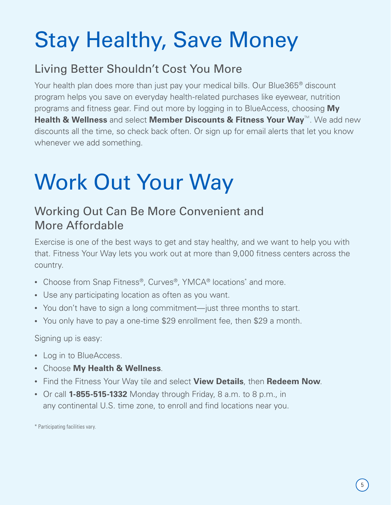## Stay Healthy, Save Money

## Living Better Shouldn't Cost You More

Your health plan does more than just pay your medical bills. Our Blue365® discount program helps you save on everyday health-related purchases like eyewear, nutrition programs and fitness gear. Find out more by logging in to BlueAccess, choosing **My Health & Wellness** and select **Member Discounts & Fitness Your Way**™. We add new discounts all the time, so check back often. Or sign up for email alerts that let you know whenever we add something.

# Work Out Your Way

## Working Out Can Be More Convenient and More Affordable

Exercise is one of the best ways to get and stay healthy, and we want to help you with that. Fitness Your Way lets you work out at more than 9,000 fitness centers across the country.

- Choose from Snap Fitness®, Curves®, YMCA® locations<sup>\*</sup> and more.
- Use any participating location as often as you want.
- You don't have to sign a long commitment—just three months to start.
- You only have to pay a one-time \$29 enrollment fee, then \$29 a month.

Signing up is easy:

- Log in to BlueAccess.
- Choose **My Health & Wellness**.
- Find the Fitness Your Way tile and select **View Details**, then **Redeem Now**.
- Or call **1-855-515-1332** Monday through Friday, 8 a.m. to 8 p.m., in any continental U.S. time zone, to enroll and find locations near you.

\* Participating facilities vary.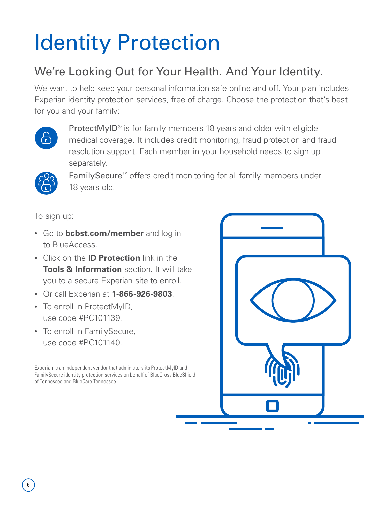## Identity Protection

## We're Looking Out for Your Health. And Your Identity.

We want to help keep your personal information safe online and off. Your plan includes Experian identity protection services, free of charge. Choose the protection that's best for you and your family:



ProtectMyID<sup>®</sup> is for family members 18 years and older with eligible medical coverage. It includes credit monitoring, fraud protection and fraud resolution support. Each member in your household needs to sign up separately.



FamilySecure<sup>sM</sup> offers credit monitoring for all family members under 18 years old.

To sign up:

- Go to **bcbst.com/member** and log in to BlueAccess.
- Click on the **ID Protection** link in the **Tools & Information** section. It will take you to a secure Experian site to enroll.
- Or call Experian at **1-866-926-9803**.
- To enroll in ProtectMyID, use code #PC101139.
- To enroll in FamilySecure, use code #PC101140.

Experian is an independent vendor that administers its ProtectMyID and FamilySecure identity protection services on behalf of BlueCross BlueShield of Tennessee and BlueCare Tennessee.

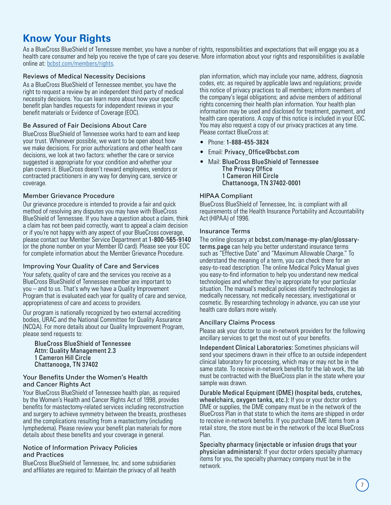### **Know Your Rights**

As a BlueCross BlueShield of Tennessee member, you have a number of rights, responsibilities and expectations that will engage you as a health care consumer and help you receive the type of care you deserve. More information about your rights and responsibilities is available online at: [bcbst.com/members/rights](http://www.bcbst.com/members/rights).

#### Reviews of Medical Necessity Decisions

As a BlueCross BlueShield of Tennessee member, you have the right to request a review by an independent third party of medical necessity decisions. You can learn more about how your specific benefit plan handles requests for independent reviews in your benefit materials or Evidence of Coverage (EOC).

#### Be Assured of Fair Decisions About Care

BlueCross BlueShield of Tennessee works hard to earn and keep your trust. Whenever possible, we want to be open about how we make decisions. For prior authorizations and other health care decisions, we look at two factors: whether the care or service suggested is appropriate for your condition and whether your plan covers it. BlueCross doesn't reward employees, vendors or contracted practitioners in any way for denying care, service or coverage.

#### Member Grievance Procedure

Our grievance procedure is intended to provide a fair and quick method of resolving any disputes you may have with BlueCross BlueShield of Tennessee. If you have a question about a claim, think a claim has not been paid correctly, want to appeal a claim decision or if you're not happy with any aspect of your BlueCross coverage, please contact our Member Service Department at 1-800-565-9140 (or the phone number on your Member ID card). Please see your EOC for complete information about the Member Grievance Procedure.

### Improving Your Quality of Care and Services

Your safety, quality of care and the services you receive as a BlueCross BlueShield of Tennessee member are important to you – and to us. That's why we have a Quality Improvement Program that is evaluated each year for quality of care and service, appropriateness of care and access to providers.

Our program is nationally recognized by two external accrediting bodies, URAC and the National Committee for Quality Assurance (NCQA). For more details about our Quality Improvement Program, please send requests to:

BlueCross BlueShield of Tennessee Attn: Quality Management 2.3 1 Cameron Hill Circle Chattanooga, TN 37402

#### Your Benefits Under the Women's Health and Cancer Rights Act

Your BlueCross BlueShield of Tennessee health plan, as required by the Women's Health and Cancer Rights Act of 1998, provides benefits for mastectomy-related services including reconstruction and surgery to achieve symmetry between the breasts, prostheses and the complications resulting from a mastectomy (including lymphedema). Please review your benefit plan materials for more details about these benefits and your coverage in general.

#### Notice of Information Privacy Policies and Practices

BlueCross BlueShield of Tennessee, Inc. and some subsidiaries and affiliates are required to: Maintain the privacy of all health plan information, which may include your name, address, diagnosis codes, etc. as required by applicable laws and regulations; provide this notice of privacy practices to all members; inform members of the company's legal obligations; and advise members of additional rights concerning their health plan information. Your health plan information may be used and disclosed for treatment, payment, and health care operations. A copy of this notice is included in your EOC. You may also request a copy of our privacy practices at any time. Please contact BlueCross at:

- Phone: 1-888-455-3824
- Email: Privacy\_Office@bcbst.com
- Mail: BlueCross BlueShield of Tennessee The Privacy Office 1 Cameron Hill Circle Chattanooga, TN 37402-0001

#### HIPAA Compliant

BlueCross BlueShield of Tennessee, Inc. is compliant with all requirements of the Health Insurance Portability and Accountability Act (HIPAA) of 1996.

#### Insurance Terms

The online glossary at bcbst.com/manage-my-plan/glossaryterms.page can help you better understand insurance terms such as "Effective Date" and "Maximum Allowable Charge." To understand the meaning of a term, you can check there for an easy-to-read description. The online Medical Policy Manual gives you easy-to-find information to help you understand new medical technologies and whether they're appropriate for your particular situation. The manual's medical policies identify technologies as medically necessary, not medically necessary, investigational or cosmetic. By researching technology in advance, you can use your health care dollars more wisely.

### Ancillary Claims Process

Please ask your doctor to use in-network providers for the following ancillary services to get the most out of your benefits.

Independent Clinical Laboratories: Sometimes physicians will send your specimens drawn in their office to an outside independent clinical laboratory for processing, which may or may not be in the same state. To receive in-network benefits for the lab work, the lab must be contracted with the BlueCross plan in the state where your sample was drawn.

Durable Medical Equipment (DME) (hospital beds, crutches, wheelchairs, oxygen tanks, etc.): If you or your doctor orders DME or supplies, the DME company must be in the network of the BlueCross Plan in that state to which the items are shipped in order to receive in-network benefits. If you purchase DME items from a retail store, the store must be in the network of the local BlueCross Plan.

Specialty pharmacy (injectable or infusion drugs that your physician administers): If your doctor orders specialty pharmacy items for you, the specialty pharmacy company must be in the network.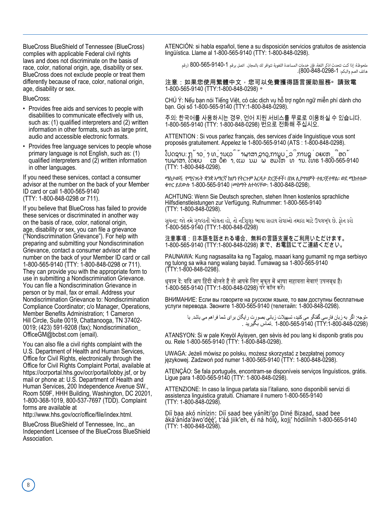BlueCross BlueShield of Tennessee (BlueCross) complies with applicable Federal civil rights laws and does not discriminate on the basis of race, color, national origin, age, disability or sex. BlueCross does not exclude people or treat them diferently because of race, color, national origin, age, disability or sex.

BlueCross:

- Provides free aids and services to people with disabilities to communicate efectively with us, such as: (1) qualifed interpreters and (2) written information in other formats, such as large print, audio and accessible electronic formats.
- Provides free language services to people whose primary language is not English, such as: (1) qualifed interpreters and (2) written information in other languages.

If you need these services, contact a consumer advisor at the number on the back of your Member ID card or call 1-800-565-9140 (TTY: 1-800-848-0298 or 711).

If you believe that BlueCross has failed to provide these services or discriminated in another way on the basis of race, color, national origin, age, disability or sex, you can fle a grievance ("Nondiscrimination Grievance"). For help with preparing and submitting your Nondiscrimination Grievance, contact a consumer advisor at the number on the back of your Member ID card or call 1-800-565-9140 (TTY: 1-800-848-0298 or 711). They can provide you with the appropriate form to use in submitting a Nondiscrimination Grievance. You can fle a Nondiscrimination Grievance in person or by mail, fax or email. Address your Nondiscrimination Grievance to: Nondiscrimination Compliance Coordinator; c/o Manager, Operations, Member Benefts Administration; 1 Cameron Hill Circle, Suite 0019, Chattanooga, TN 37402- 0019; (423) 591-9208 (fax); Nondiscrimination\_ OfficeGM@bcbst.com (email).

You can also fle a civil rights complaint with the U.S. Department of Health and Human Services, Office for Civil Rights, electronically through the Office for Civil Rights Complaint Portal, available at https://ocrportal.hhs.gov/ocr/portal/lobby.jsf, or by mail or phone at: U.S. Department of Health and Human Services, 200 Independence Avenue SW., Room 509F, HHH Building, Washington, DC 20201, 1-800-368-1019, 800-537-7697 (TDD). Complaint forms are available at

http://www.hhs.gov/ocr/office/file/index.html.

BlueCross BlueShield of Tennessee, Inc., an Independent Licensee of the BlueCross BlueShield Association.

ATENCIÓN: si habla español, tiene a su disposición servicios gratuitos de asistencia lingüística. Llame al 1-800-565-9140 (TTY: 1-800-848-0298).

ملحوظة: إذا كنت تتحدث اذكر اللغة، فإن خدمات المساعدة اللغویة تتوافر لك بالمجان. اتصل برقم 800-565-9140-1 (رقم ھاتف الصم والبكم: 800-848-0298-1).

注意:如果您使用繁體中文,您可以免費獲得語言援助服務。請致電 1-800-565-9140 (TTY:1-800-848-0298) 。

CHÚ Ý: Nếu bạn nói Tiếng Việt, có các dịch vụ hỗ trợ ngôn ngữ miễn phí dành cho bạn. Gọi số 1-800-565-9140 (TTY:1-800-848-0298).

주의: 한국어를 사용하시는 경우, 언어 지원 서비스를 무료로 이용하실 수 있습니다. 1-91: 는 1-1를 제공하거는 8가, 는 17세는 제라그를 해 표도 하용<br>1-800-565-9140 (TTY: 1-800-848-0298) 번으로 전화해 주십시오.

ATTENTION : Si vous parlez français, des services d'aide linguistique vous sont proposés gratuitement. Appelez le 1-800-565-9140 (ATS : 1-800-848-0298).

ໂປດຊາບ: ຖ້າວ່າ ທ່ານເວົ້າພາສາ ລາວ,ການບໍລິການຊ່ວຍເຫຼືອດ້ ານພາສາ, ໂດຍບໍ່ເສັຽຄ່າ, ແມ່ນມີພ້ອມໃຫ້ທ່ານ. ໂທຣ 1-800-565-9140 (TTY: 1-800-848-0298).

ማስታወሻ: የሚናገሩት ቋንቋ ኣማርኛ ከሆነ የትርጉም እርዳታ ድርጅቶች፣ በነጻ ሊያግዝዎት ተዘጋጀተዋል፡ ወደ ሚከተለው ቁጥር ይደውሉ 1-800-565-9140 (መስማት ለተሳናቸው: 1-800-848-0298).

ACHTUNG: Wenn Sie Deutsch sprechen, stehen Ihnen kostenlos sprachliche Hilfsdienstleistungen zur Verfügung. Rufnummer: 1-800-565-9140 (TTY: 1-800-848-0298).

સુચના: જો તમે ગુજરાતી બોલતા હો, તો નિ:શુલ્ક ભાષા સહાય સેવાઓ તમારા માટે ઉપલબ્ધ છે. ફોન કરો 1-800-565-9140 (TTY:1-800-848-0298)

注意事項:日本語を話される場合、無料の言語支援をご利用いただけます。 1-800-565-9140 (TTY:1-800-848-0298) まで、お電話にてご連絡ください。

PAUNAWA: Kung nagsasalita ka ng Tagalog, maaari kang gumamit ng mga serbisyo ng tulong sa wika nang walang bayad. Tumawag sa 1-800-565-9140 (TTY:1-800-848-0298).

ध्यान दें: यदि आप हिंदी बोलते हैं तो आपके लिए मुफ्त में भाषा सहायता सेवाएं उपलब्ध हैं। 1-800-565-9140 (TTY:1-800-848-0298) पर कॉल करें।

ВНИМАНИЕ: Если вы говорите на русском языке, то вам доступны бесплатные услуги перевода. Звоните 1-800-565-9140 (телетайп: 1-800-848-0298).

-توجه: اگر به زبان فارسی گفتگو می کنید، تسهیلات زبانی بصورت رایگان برای شما فراهم می باشد. با<br>(0298-848-4800 .mpc (TTY:1-800-848-100 .تماس بگیرید

ATANSYON: Si w pale Kreyòl Ayisyen, gen sèvis èd pou lang ki disponib gratis pou ou. Rele 1-800-565-9140 (TTY: 1-800-848-0298).

UWAGA: Jeżeli mówisz po polsku, możesz skorzystać z bezpłatnej pomocy językowej. Zadzwoń pod numer 1-800-565-9140 (TTY: 1-800-848-0298).

ATENÇÃO: Se fala português, encontram-se disponíveis serviços linguísticos, grátis. Ligue para 1-800-565-9140 (TTY: 1-800-848-0298).

ATTENZIONE: In caso la lingua parlata sia l'italiano, sono disponibili servizi di assistenza linguistica gratuiti. Chiamare il numero 1-800-565-9140 (TTY: 1-800-848-0298).

Díí baa akó nínízin: Díí saad bee yáníłti'go Diné Bizaad, saad bee áká'ánída'áwo'déé', t'áá jiik'eh, éi ná hóló, koji' hódíilnih 1-800-565-9140 (TTY: 1-800-848-0298).